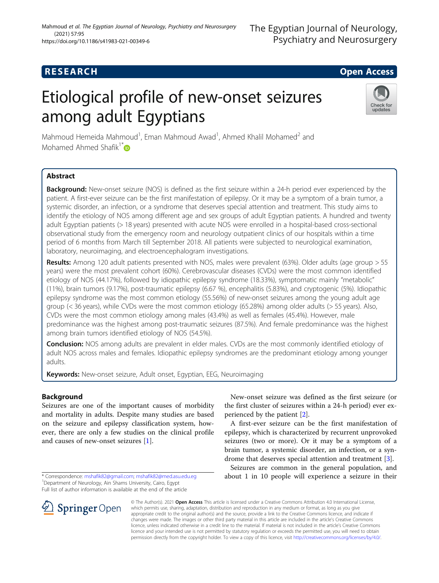## **RESEARCH CHILD CONTROL** CONTROL CONTROL CONTROL CONTROL CONTROL CONTROL CONTROL CONTROL CONTROL CONTROL CONTROL

# Etiological profile of new-onset seizures among adult Egyptians



Mahmoud Hemeida Mahmoud<sup>1</sup>, Eman Mahmoud Awad<sup>1</sup>, Ahmed Khalil Mohamed<sup>2</sup> and Mohamed Ahmed Shafik<sup>1\*</sup> $\bullet$ 

### Abstract

Background: New-onset seizure (NOS) is defined as the first seizure within a 24-h period ever experienced by the patient. A first-ever seizure can be the first manifestation of epilepsy. Or it may be a symptom of a brain tumor, a systemic disorder, an infection, or a syndrome that deserves special attention and treatment. This study aims to identify the etiology of NOS among different age and sex groups of adult Egyptian patients. A hundred and twenty adult Egyptian patients (> 18 years) presented with acute NOS were enrolled in a hospital-based cross-sectional observational study from the emergency room and neurology outpatient clinics of our hospitals within a time period of 6 months from March till September 2018. All patients were subjected to neurological examination, laboratory, neuroimaging, and electroencephalogram investigations.

Results: Among 120 adult patients presented with NOS, males were prevalent (63%). Older adults (age group > 55 years) were the most prevalent cohort (60%). Cerebrovascular diseases (CVDs) were the most common identified etiology of NOS (44.17%), followed by idiopathic epilepsy syndrome (18.33%), symptomatic mainly "metabolic" (11%), brain tumors (9.17%), post-traumatic epilepsy (6.67 %), encephalitis (5.83%), and cryptogenic (5%). Idiopathic epilepsy syndrome was the most common etiology (55.56%) of new-onset seizures among the young adult age group (< 36 years), while CVDs were the most common etiology (65.28%) among older adults (> 55 years). Also, CVDs were the most common etiology among males (43.4%) as well as females (45.4%). However, male predominance was the highest among post-traumatic seizures (87.5%). And female predominance was the highest among brain tumors identified etiology of NOS (54.5%).

**Conclusion:** NOS among adults are prevalent in elder males. CVDs are the most commonly identified etiology of adult NOS across males and females. Idiopathic epilepsy syndromes are the predominant etiology among younger adults.

**Keywords:** New-onset seizure, Adult onset, Egyptian, EEG, Neuroimaging

#### Background

Seizures are one of the important causes of morbidity and mortality in adults. Despite many studies are based on the seizure and epilepsy classification system, however, there are only a few studies on the clinical profile and causes of new-onset seizures [[1\]](#page-7-0).

Full list of author information is available at the end of the article



New-onset seizure was defined as the first seizure (or the first cluster of seizures within a 24-h period) ever experienced by the patient [\[2\]](#page-7-0).

A first-ever seizure can be the first manifestation of epilepsy, which is characterized by recurrent unprovoked seizures (two or more). Or it may be a symptom of a brain tumor, a systemic disorder, an infection, or a syndrome that deserves special attention and treatment [\[3](#page-7-0)].

Seizures are common in the general population, and about 1 in 10 people will experience a seizure in their

© The Author(s). 2021 Open Access This article is licensed under a Creative Commons Attribution 4.0 International License, which permits use, sharing, adaptation, distribution and reproduction in any medium or format, as long as you give appropriate credit to the original author(s) and the source, provide a link to the Creative Commons licence, and indicate if changes were made. The images or other third party material in this article are included in the article's Creative Commons licence, unless indicated otherwise in a credit line to the material. If material is not included in the article's Creative Commons licence and your intended use is not permitted by statutory regulation or exceeds the permitted use, you will need to obtain permission directly from the copyright holder. To view a copy of this licence, visit <http://creativecommons.org/licenses/by/4.0/>.

<sup>\*</sup> Correspondence: [mshafik82@gmail.com](mailto:mshafik82@gmail.com); [mshafik82@med.asu.edu.eg](mailto:mshafik82@med.asu.edu.eg) <sup>1</sup> Department of Neurology, Ain Shams University, Cairo, Egypt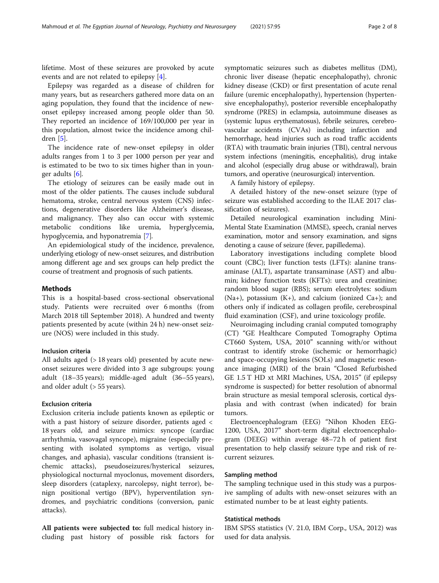lifetime. Most of these seizures are provoked by acute events and are not related to epilepsy [[4\]](#page-7-0).

Epilepsy was regarded as a disease of children for many years, but as researchers gathered more data on an aging population, they found that the incidence of newonset epilepsy increased among people older than 50. They reported an incidence of 169/100,000 per year in this population, almost twice the incidence among children [[5](#page-7-0)].

The incidence rate of new-onset epilepsy in older adults ranges from 1 to 3 per 1000 person per year and is estimated to be two to six times higher than in younger adults [[6\]](#page-7-0).

The etiology of seizures can be easily made out in most of the older patients. The causes include subdural hematoma, stroke, central nervous system (CNS) infections, degenerative disorders like Alzheimer's disease, and malignancy. They also can occur with systemic metabolic conditions like uremia, hyperglycemia, hypoglycemia, and hyponatremia [[7\]](#page-7-0).

An epidemiological study of the incidence, prevalence, underlying etiology of new-onset seizures, and distribution among different age and sex groups can help predict the course of treatment and prognosis of such patients.

#### Methods

This is a hospital-based cross-sectional observational study. Patients were recruited over 6 months (from March 2018 till September 2018). A hundred and twenty patients presented by acute (within 24 h) new-onset seizure (NOS) were included in this study.

#### Inclusion criteria

All adults aged (> 18 years old) presented by acute newonset seizures were divided into 3 age subgroups: young adult (18–35 years); middle-aged adult (36–55 years), and older adult (> 55 years).

#### Exclusion criteria

Exclusion criteria include patients known as epileptic or with a past history of seizure disorder, patients aged < 18 years old, and seizure mimics: syncope (cardiac arrhythmia, vasovagal syncope), migraine (especially presenting with isolated symptoms as vertigo, visual changes, and aphasia), vascular conditions (transient ischemic attacks), pseudoseizures/hysterical seizures, physiological nocturnal myoclonus, movement disorders, sleep disorders (cataplexy, narcolepsy, night terror), benign positional vertigo (BPV), hyperventilation syndromes, and psychiatric conditions (conversion, panic attacks).

All patients were subjected to: full medical history including past history of possible risk factors for symptomatic seizures such as diabetes mellitus (DM), chronic liver disease (hepatic encephalopathy), chronic kidney disease (CKD) or first presentation of acute renal failure (uremic encephalopathy), hypertension (hypertensive encephalopathy), posterior reversible encephalopathy syndrome (PRES) in eclampsia, autoimmune diseases as (systemic lupus erythematosus), febrile seizures, cerebrovascular accidents (CVAs) including infarction and hemorrhage, head injuries such as road traffic accidents (RTA) with traumatic brain injuries (TBI), central nervous system infections (meningitis, encephalitis), drug intake and alcohol (especially drug abuse or withdrawal), brain tumors, and operative (neurosurgical) intervention.

A family history of epilepsy.

A detailed history of the new-onset seizure (type of seizure was established according to the ILAE 2017 classification of seizures).

Detailed neurological examination including Mini-Mental State Examination (MMSE), speech, cranial nerves examination, motor and sensory examination, and signs denoting a cause of seizure (fever, papilledema).

Laboratory investigations including complete blood count (CBC); liver function tests (LFTs): alanine transaminase (ALT), aspartate transaminase (AST) and albumin; kidney function tests (KFTs): urea and creatinine; random blood sugar (RBS); serum electrolytes: sodium (Na+), potassium  $(K+)$ , and calcium (ionized Ca+); and others only if indicated as collagen profile, cerebrospinal fluid examination (CSF), and urine toxicology profile.

Neuroimaging including cranial computed tomography (CT) "GE Healthcare Computed Tomography Optima CT660 System, USA, 2010" scanning with/or without contrast to identify stroke (ischemic or hemorrhagic) and space-occupying lesions (SOLs) and magnetic resonance imaging (MRI) of the brain "Closed Refurbished GE 1.5 T HD xt MRI Machines, USA, 2015" (if epilepsy syndrome is suspected) for better resolution of abnormal brain structure as mesial temporal sclerosis, cortical dysplasia and with contrast (when indicated) for brain tumors.

Electroencephalogram (EEG) "Nihon Khoden EEG-1200, USA, 2017" short-term digital electroencephalogram (DEEG) within average 48–72 h of patient first presentation to help classify seizure type and risk of recurrent seizures.

#### Sampling method

The sampling technique used in this study was a purposive sampling of adults with new-onset seizures with an estimated number to be at least eighty patients.

#### Statistical methods

IBM SPSS statistics (V. 21.0, IBM Corp., USA, 2012) was used for data analysis.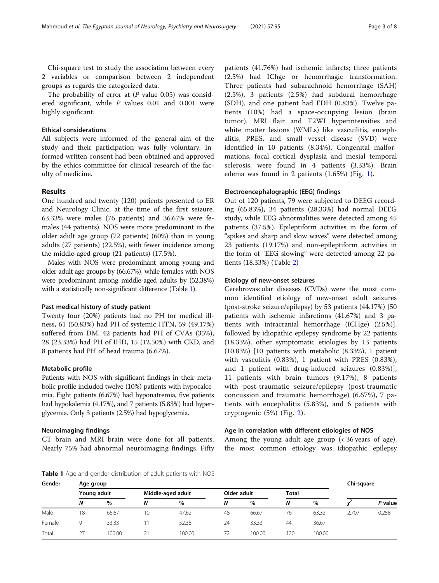Chi-square test to study the association between every 2 variables or comparison between 2 independent groups as regards the categorized data.

The probability of error at  $(P \text{ value } 0.05)$  was considered significant, while P values 0.01 and 0.001 were highly significant.

#### Ethical considerations

All subjects were informed of the general aim of the study and their participation was fully voluntary. Informed written consent had been obtained and approved by the ethics committee for clinical research of the faculty of medicine.

#### Results

One hundred and twenty (120) patients presented to ER and Neurology Clinic, at the time of the first seizure. 63.33% were males (76 patients) and 36.67% were females (44 patients). NOS were more predominant in the older adult age group (72 patients) (60%) than in young adults (27 patients) (22.5%), with fewer incidence among the middle-aged group (21 patients) (17.5%).

Males with NOS were predominant among young and older adult age groups by (66.67%), while females with NOS were predominant among middle-aged adults by (52.38%) with a statistically non-significant difference (Table 1).

#### Past medical history of study patient

Twenty four (20%) patients had no PH for medical illness, 61 (50.83%) had PH of systemic HTN, 59 (49.17%) suffered from DM, 42 patients had PH of CVAs (35%), 28 (23.33%) had PH of IHD, 15 (12.50%) with CKD, and 8 patients had PH of head trauma (6.67%).

#### Metabolic profile

Patients with NOS with significant findings in their metabolic profile included twelve (10%) patients with hypocalcemia. Eight patients (6.67%) had hyponatremia, five patients had hypokalemia (4.17%), and 7 patients (5.83%) had hyperglycemia. Only 3 patients (2.5%) had hypoglycemia.

#### Neuroimaging findings

CT brain and MRI brain were done for all patients. Nearly 75% had abnormal neuroimaging findings. Fifty

patients (41.76%) had ischemic infarcts; three patients (2.5%) had IChge or hemorrhagic transformation. Three patients had subarachnoid hemorrhage (SAH) (2.5%), 3 patients (2.5%) had subdural hemorrhage (SDH), and one patient had EDH (0.83%). Twelve patients (10%) had a space-occupying lesion (brain tumor). MRI flair and T2WI hyperintensities and white matter lesions (WMLs) like vascuilitis, encephalitis, PRES, and small vessel disease (SVD) were identified in 10 patients (8.34%). Congenital malformations, focal cortical dysplasia and mesial temporal sclerosis, were found in 4 patients (3.33%). Brain edema was found in 2 patients (1.65%) (Fig. [1\)](#page-3-0).

#### Electroencephalographic (EEG) findings

Out of 120 patients, 79 were subjected to DEEG recording (65.83%), 34 patients (28.33%) had normal DEEG study, while EEG abnormalities were detected among 45 patients (37.5%). Epileptiform activities in the form of "spikes and sharp and slow waves" were detected among 23 patients (19.17%) and non-epileptiform activities in the form of "EEG slowing" were detected among 22 patients (18.33%) (Table [2](#page-3-0))

#### Etiology of new-onset seizures

Cerebrovascular diseases (CVDs) were the most common identified etiology of new-onset adult seizures (post-stroke seizure/epilepsy) by 53 patients (44.17%) [50 patients with ischemic infarctions (41.67%) and 3 patients with intracranial hemorrhage (ICHge) (2.5%)], followed by idiopathic epilepsy syndrome by 22 patients (18.33%), other symptomatic etiologies by 13 patients (10.83%) [10 patients with metabolic (8.33%), 1 patient with vasculitis (0.83%), 1 patient with PRES (0.83%), and 1 patient with drug-induced seizures (0.83%)], 11 patients with brain tumors (9.17%), 8 patients with post-traumatic seizure/epilepsy (post-traumatic concussion and traumatic hemorrhage) (6.67%), 7 patients with encephalitis (5.83%), and 6 patients with cryptogenic (5%) (Fig. [2](#page-4-0)).

#### Age in correlation with different etiologies of NOS

Among the young adult age group (< 36 years of age), the most common etiology was idiopathic epilepsy

Table 1 Age and gender distribution of adult patients with NOS

| Gender | Age group   |        |                   |        |             |        |              |        |       | Chi-square |
|--------|-------------|--------|-------------------|--------|-------------|--------|--------------|--------|-------|------------|
|        | Young adult |        | Middle-aged adult |        | Older adult |        | <b>Total</b> |        |       |            |
|        | N           | %      | N                 | $\%$   | N           | %      | N            | $\%$   |       | P value    |
| Male   | 18          | 66.67  | 10                | 47.62  | 48          | 66.67  | 76           | 63.33  | 2.707 | 0.258      |
| Female |             | 33.33  |                   | 52.38  | 24          | 33.33  | 44           | 36.67  |       |            |
| Total  | 27          | 100.00 | 21                | 100.00 |             | 100.00 | 120          | 100.00 |       |            |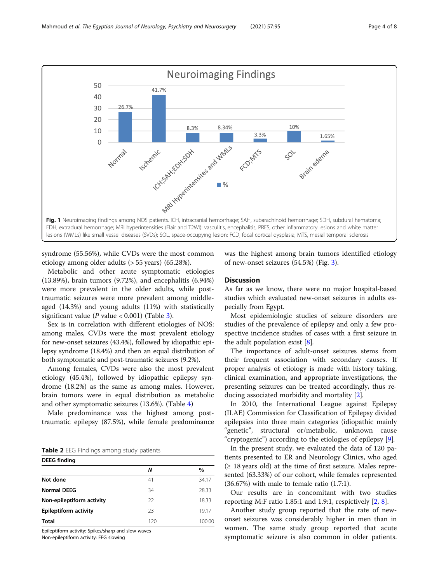<span id="page-3-0"></span>

syndrome (55.56%), while CVDs were the most common etiology among older adults (> 55 years) (65.28%).

Metabolic and other acute symptomatic etiologies (13.89%), brain tumors (9.72%), and encephalitis (6.94%) were more prevalent in the older adults, while posttraumatic seizures were more prevalent among middleaged (14.3%) and young adults (11%) with statistically significant value ( $P$  value < 0.001) (Table [3](#page-4-0)).

Sex is in correlation with different etiologies of NOS: among males, CVDs were the most prevalent etiology for new-onset seizures (43.4%), followed by idiopathic epilepsy syndrome (18.4%) and then an equal distribution of both symptomatic and post-traumatic seizures (9.2%).

Among females, CVDs were also the most prevalent etiology (45.4%), followed by idiopathic epilepsy syndrome (18.2%) as the same as among males. However, brain tumors were in equal distribution as metabolic and other symptomatic seizures (13.6%). (Table [4](#page-5-0))

Male predominance was the highest among posttraumatic epilepsy (87.5%), while female predominance

Table 2 EEG Findings among study patients

| <b>DEEG</b> finding       |     |        |  |  |  |  |  |
|---------------------------|-----|--------|--|--|--|--|--|
|                           | N   | $\%$   |  |  |  |  |  |
| Not done                  | 41  | 34.17  |  |  |  |  |  |
| <b>Normal DEEG</b>        | 34  | 28.33  |  |  |  |  |  |
| Non-epileptiform activity | 22  | 18.33  |  |  |  |  |  |
| Epileptiform activity     | 23  | 19.17  |  |  |  |  |  |
| <b>Total</b>              | 120 | 100.00 |  |  |  |  |  |

Epileptiform activity: Spikes/sharp and slow waves

Non-epileptiform activity: EEG slowing

was the highest among brain tumors identified etiology of new-onset seizures (54.5%) (Fig. [3](#page-5-0)).

#### **Discussion**

As far as we know, there were no major hospital-based studies which evaluated new-onset seizures in adults especially from Egypt.

Most epidemiologic studies of seizure disorders are studies of the prevalence of epilepsy and only a few prospective incidence studies of cases with a first seizure in the adult population exist [[8\]](#page-7-0).

The importance of adult-onset seizures stems from their frequent association with secondary causes. If proper analysis of etiology is made with history taking, clinical examination, and appropriate investigations, the presenting seizures can be treated accordingly, thus reducing associated morbidity and mortality [[2\]](#page-7-0).

In 2010, the International League against Epilepsy (ILAE) Commission for Classification of Epilepsy divided epilepsies into three main categories (idiopathic mainly "genetic", structural or/metabolic, unknown cause "cryptogenic") according to the etiologies of epilepsy [\[9](#page-7-0)].

In the present study, we evaluated the data of 120 patients presented to ER and Neurology Clinics, who aged  $(≥ 18$  years old) at the time of first seizure. Males represented (63.33%) of our cohort, while females represented  $(36.67%)$  with male to female ratio  $(1.7:1)$ .

Our results are in concomitant with two studies reporting M:F ratio 1.85:1 and 1.9:1, respictively [\[2](#page-7-0), [8](#page-7-0)].

Another study group reported that the rate of newonset seizures was considerably higher in men than in women. The same study group reported that acute symptomatic seizure is also common in older patients.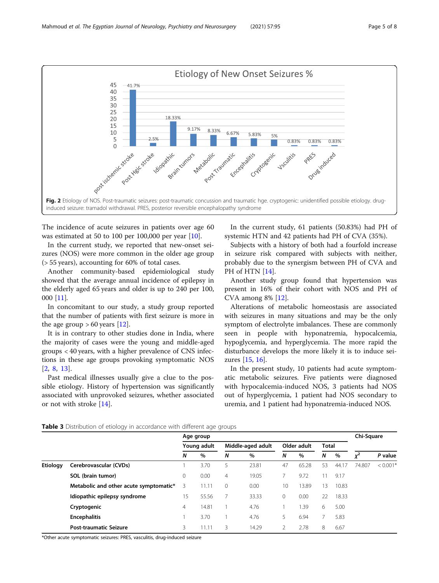<span id="page-4-0"></span>

The incidence of acute seizures in patients over age 60 was estimated at 50 to 100 per 100,000 per year [\[10\]](#page-7-0).

In the current study, we reported that new-onset seizures (NOS) were more common in the older age group (> 55 years), accounting for 60% of total cases.

Another community-based epidemiological study showed that the average annual incidence of epilepsy in the elderly aged 65 years and older is up to 240 per 100, 000 [[11](#page-7-0)].

In concomitant to our study, a study group reported that the number of patients with first seizure is more in the age group  $> 60$  years [[12\]](#page-7-0).

It is in contrary to other studies done in India, where the majority of cases were the young and middle-aged groups < 40 years, with a higher prevalence of CNS infections in these age groups provoking symptomatic NOS [[2,](#page-7-0) [8](#page-7-0), [13](#page-7-0)].

Past medical illnesses usually give a clue to the possible etiology. History of hypertension was significantly associated with unprovoked seizures, whether associated or not with stroke [\[14\]](#page-7-0).

In the current study, 61 patients (50.83%) had PH of systemic HTN and 42 patients had PH of CVA (35%).

Subjects with a history of both had a fourfold increase in seizure risk compared with subjects with neither, probably due to the synergism between PH of CVA and PH of HTN [\[14](#page-7-0)].

Another study group found that hypertension was present in 16% of their cohort with NOS and PH of CVA among 8% [[12](#page-7-0)].

Alterations of metabolic homeostasis are associated with seizures in many situations and may be the only symptom of electrolyte imbalances. These are commonly seen in people with hyponatremia, hypocalcemia, hypoglycemia, and hyperglycemia. The more rapid the disturbance develops the more likely it is to induce seizures [\[15](#page-7-0), [16](#page-7-0)].

In the present study, 10 patients had acute symptomatic metabolic seizures. Five patients were diagnosed with hypocalcemia-induced NOS, 3 patients had NOS out of hyperglycemia, 1 patient had NOS secondary to uremia, and 1 patient had hyponatremia-induced NOS.

|          |                                        | Age group   |       |                   |       |             |       | Chi-Square   |       |         |            |
|----------|----------------------------------------|-------------|-------|-------------------|-------|-------------|-------|--------------|-------|---------|------------|
|          |                                        | Young adult |       | Middle-aged adult |       | Older adult |       | <b>Total</b> |       |         |            |
|          |                                        | N           | %     | N                 | %     | N           | $\%$  | N            | $\%$  | ิ์<br>л | P value    |
| Etiology | Cerebrovascular (CVDs)                 |             | 3.70  | 5                 | 23.81 | 47          | 65.28 | 53           | 44.17 | 74.807  | $< 0.001*$ |
|          | SOL (brain tumor)                      | 0           | 0.00  | 4                 | 19.05 |             | 9.72  | 11           | 9.17  |         |            |
|          | Metabolic and other acute symptomatic* | 3           | 11.11 | $\Omega$          | 0.00  | 10          | 13.89 | 13           | 10.83 |         |            |
|          | Idiopathic epilepsy syndrome           | 15          | 55.56 |                   | 33.33 | $\Omega$    | 0.00  | 22           | 18.33 |         |            |
|          | Cryptogenic                            | 4           | 14.81 |                   | 4.76  |             | .39   | 6            | 5.00  |         |            |
|          | <b>Encephalitis</b>                    |             | 3.70  |                   | 4.76  | 5.          | 6.94  |              | 5.83  |         |            |
|          | <b>Post-traumatic Seizure</b>          | 3.          | 1.11  | 3                 | 14.29 |             | 2.78  | 8            | 6.67  |         |            |

Table 3 Distribution of etiology in accordance with different age groups

\*Other acute symptomatic seizures: PRES, vasculitis, drug-induced seizure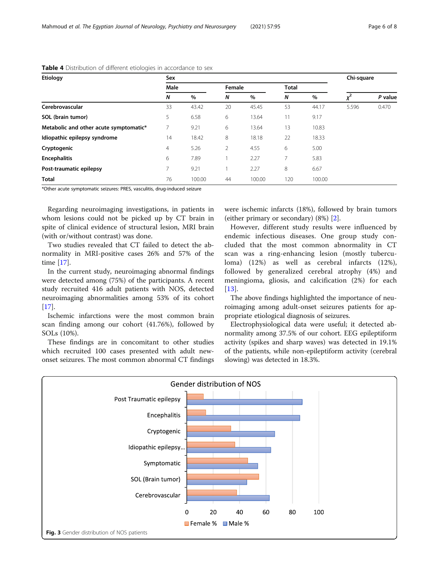| Etiology                               | Sex            |        | Chi-square |        |              |        |       |         |
|----------------------------------------|----------------|--------|------------|--------|--------------|--------|-------|---------|
|                                        | Male           |        | Female     |        | <b>Total</b> |        |       |         |
|                                        | N              | $\%$   | N          | %      | N            | %      | ✓     | P value |
| Cerebrovascular                        | 33             | 43.42  | 20         | 45.45  | 53           | 44.17  | 5.596 | 0.470   |
| SOL (brain tumor)                      | 5              | 6.58   | 6          | 13.64  | 11           | 9.17   |       |         |
| Metabolic and other acute symptomatic* |                | 9.21   | 6          | 13.64  | 13           | 10.83  |       |         |
| Idiopathic epilepsy syndrome           | 14             | 18.42  | 8          | 18.18  | 22           | 18.33  |       |         |
| Cryptogenic                            | $\overline{4}$ | 5.26   | 2          | 4.55   | 6            | 5.00   |       |         |
| <b>Encephalitis</b>                    | 6              | 7.89   |            | 2.27   | 7            | 5.83   |       |         |
| Post-traumatic epilepsy                | 7              | 9.21   |            | 2.27   | 8            | 6.67   |       |         |
| <b>Total</b>                           | 76             | 100.00 | 44         | 100.00 | 120          | 100.00 |       |         |

#### <span id="page-5-0"></span>Table 4 Distribution of different etiologies in accordance to sex

\*Other acute symptomatic seizures: PRES, vasculitis, drug-induced seizure

Regarding neuroimaging investigations, in patients in whom lesions could not be picked up by CT brain in spite of clinical evidence of structural lesion, MRI brain (with or/without contrast) was done.

Two studies revealed that CT failed to detect the abnormality in MRI-positive cases 26% and 57% of the time [\[17\]](#page-7-0).

In the current study, neuroimaging abnormal findings were detected among (75%) of the participants. A recent study recruited 416 adult patients with NOS, detected neuroimaging abnormalities among 53% of its cohort  $[17]$  $[17]$ .

Ischemic infarctions were the most common brain scan finding among our cohort (41.76%), followed by SOLs (10%).

These findings are in concomitant to other studies which recruited 100 cases presented with adult newonset seizures. The most common abnormal CT findings were ischemic infarcts (18%), followed by brain tumors (either primary or secondary) (8%) [\[2](#page-7-0)].

However, different study results were influenced by endemic infectious diseases. One group study concluded that the most common abnormality in CT scan was a ring-enhancing lesion (mostly tuberculoma) (12%) as well as cerebral infarcts (12%), followed by generalized cerebral atrophy (4%) and meningioma, gliosis, and calcification (2%) for each [[13\]](#page-7-0).

The above findings highlighted the importance of neuroimaging among adult-onset seizures patients for appropriate etiological diagnosis of seizures.

Electrophysiological data were useful; it detected abnormality among 37.5% of our cohort. EEG epileptiform activity (spikes and sharp waves) was detected in 19.1% of the patients, while non-epileptiform activity (cerebral slowing) was detected in 18.3%.

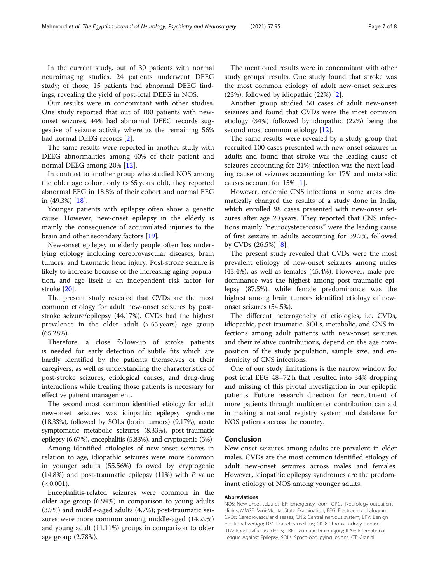In the current study, out of 30 patients with normal neuroimaging studies, 24 patients underwent DEEG study; of those, 15 patients had abnormal DEEG findings, revealing the yield of post-ictal DEEG in NOS.

Our results were in concomitant with other studies. One study reported that out of 100 patients with newonset seizures, 44% had abnormal DEEG records suggestive of seizure activity where as the remaining 56% had normal DEEG records [[2\]](#page-7-0).

The same results were reported in another study with DEEG abnormalities among 40% of their patient and normal DEEG among 20% [[12\]](#page-7-0).

In contrast to another group who studied NOS among the older age cohort only (> 65 years old), they reported abnormal EEG in 18.8% of their cohort and normal EEG in (49.3%) [[18\]](#page-7-0).

Younger patients with epilepsy often show a genetic cause. However, new-onset epilepsy in the elderly is mainly the consequence of accumulated injuries to the brain and other secondary factors [[19](#page-7-0)].

New-onset epilepsy in elderly people often has underlying etiology including cerebrovascular diseases, brain tumors, and traumatic head injury. Post-stroke seizure is likely to increase because of the increasing aging population, and age itself is an independent risk factor for stroke [[20\]](#page-7-0).

The present study revealed that CVDs are the most common etiology for adult new-onset seizures by poststroke seizure/epilepsy (44.17%). CVDs had the highest prevalence in the older adult (> 55 years) age group (65.28%).

Therefore, a close follow-up of stroke patients is needed for early detection of subtle fits which are hardly identified by the patients themselves or their caregivers, as well as understanding the characteristics of post-stroke seizures, etiological causes, and drug-drug interactions while treating those patients is necessary for effective patient management.

The second most common identified etiology for adult new-onset seizures was idiopathic epilepsy syndrome (18.33%), followed by SOLs (brain tumors) (9.17%), acute symptomatic metabolic seizures (8.33%), post-traumatic epilepsy (6.67%), encephalitis (5.83%), and cryptogenic (5%).

Among identified etiologies of new-onset seizures in relation to age, idiopathic seizures were more common in younger adults (55.56%) followed by cryptogenic  $(14.8\%)$  and post-traumatic epilepsy  $(11\%)$  with P value  $(< 0.001$ ).

Encephalitis-related seizures were common in the older age group (6.94%) in comparison to young adults (3.7%) and middle-aged adults (4.7%); post-traumatic seizures were more common among middle-aged (14.29%) and young adult (11.11%) groups in comparison to older age group (2.78%).

The mentioned results were in concomitant with other study groups' results. One study found that stroke was the most common etiology of adult new-onset seizures (23%), followed by idiopathic (22%) [\[2](#page-7-0)].

Another group studied 50 cases of adult new-onset seizures and found that CVDs were the most common etiology (34%) followed by idiopathic (22%) being the second most common etiology [[12](#page-7-0)].

The same results were revealed by a study group that recruited 100 cases presented with new-onset seizures in adults and found that stroke was the leading cause of seizures accounting for 21%; infection was the next leading cause of seizures accounting for 17% and metabolic causes account for 15% [\[1](#page-7-0)].

However, endemic CNS infections in some areas dramatically changed the results of a study done in India, which enrolled 98 cases presented with new-onset seizures after age 20 years. They reported that CNS infections mainly "neurocystecercosis" were the leading cause of first seizure in adults accounting for 39.7%, followed by CVDs (26.5%) [[8\]](#page-7-0).

The present study revealed that CVDs were the most prevalent etiology of new-onset seizures among males (43.4%), as well as females (45.4%). However, male predominance was the highest among post-traumatic epilepsy (87.5%), while female predominance was the highest among brain tumors identified etiology of newonset seizures (54.5%).

The different heterogeneity of etiologies, i.e. CVDs, idiopathic, post-traumatic, SOLs, metabolic, and CNS infections among adult patients with new-onset seizures and their relative contributions, depend on the age composition of the study population, sample size, and endemicity of CNS infections.

One of our study limitations is the narrow window for post ictal EEG 48–72 h that resulted into 34% dropping and missing of this pivotal investigation in our epileptic patients. Future research direction for recruitment of more patients through multicenter contribution can aid in making a national registry system and database for NOS patients across the country.

#### Conclusion

New-onset seizures among adults are prevalent in elder males. CVDs are the most common identified etiology of adult new-onset seizures across males and females. However, idiopathic epilepsy syndromes are the predominant etiology of NOS among younger adults.

#### Abbreviations

NOS: New-onset seizures; ER: Emergency room; OPCs: Neurology outpatient clinics; MMSE: Mini-Mental State Examination; EEG: Electroencephalogram; CVDs: Cerebrovascular diseases; CNS: Central nervous system; BPV: Benign positional vertigo; DM: Diabetes mellitus; CKD: Chronic kidney disease; RTA: Road traffic accidents; TBI: Traumatic brain injury; ILAE: International League Against Epilepsy; SOLs: Space-occupying lesions; CT: Cranial